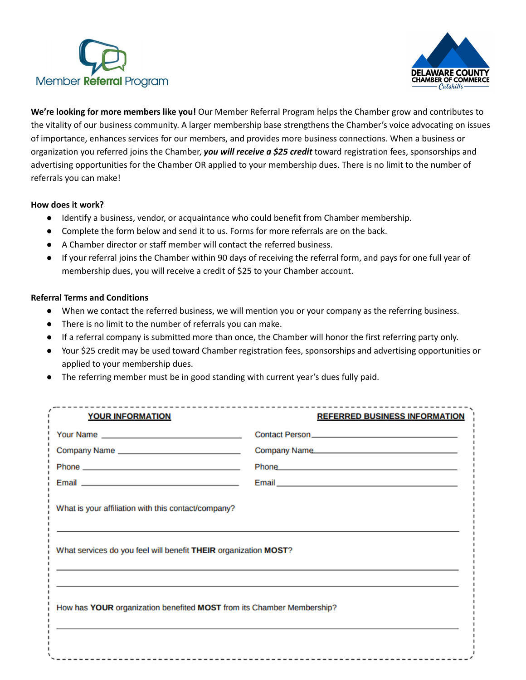



**We're looking for more members like you!** Our Member Referral Program helps the Chamber grow and contributes to the vitality of our business community. A larger membership base strengthens the Chamber's voice advocating on issues of importance, enhances services for our members, and provides more business connections. When a business or organization you referred joins the Chamber, *you will receive a \$25 credit* toward registration fees, sponsorships and advertising opportunities for the Chamber OR applied to your membership dues. There is no limit to the number of referrals you can make!

## **How does it work?**

- Identify a business, vendor, or acquaintance who could benefit from Chamber membership.
- Complete the form below and send it to us. Forms for more referrals are on the back.
- A Chamber director or staff member will contact the referred business.
- If your referral joins the Chamber within 90 days of receiving the referral form, and pays for one full year of membership dues, you will receive a credit of \$25 to your Chamber account.

## **Referral Terms and Conditions**

- When we contact the referred business, we will mention you or your company as the referring business.
- There is no limit to the number of referrals you can make.
- If a referral company is submitted more than once, the Chamber will honor the first referring party only.
- Your \$25 credit may be used toward Chamber registration fees, sponsorships and advertising opportunities or applied to your membership dues.
- The referring member must be in good standing with current year's dues fully paid.

| <b>YOUR INFORMATION</b>                                                                                                                                                                                                              | <b>REFERRED BUSINESS INFORMATION</b>                                                                           |
|--------------------------------------------------------------------------------------------------------------------------------------------------------------------------------------------------------------------------------------|----------------------------------------------------------------------------------------------------------------|
|                                                                                                                                                                                                                                      |                                                                                                                |
| Company Name __________________________________                                                                                                                                                                                      | Company Name                                                                                                   |
|                                                                                                                                                                                                                                      | Phone 2008 2012 2023 2024 2024 2022 2023 2024 2022 2023 2024 2022 2023 2024 2022 2023 2024 2022 2024 2022 2023 |
| Email <b>Experience of the Contract Contract Contract Contract Contract Contract Contract Contract Contract Contract Contract Contract Contract Contract Contract Contract Contract Contract Contract Contract Contract Contract</b> |                                                                                                                |
| What is your affiliation with this contact/company?<br>What services do you feel will benefit THEIR organization MOST?                                                                                                               |                                                                                                                |
| How has YOUR organization benefited MOST from its Chamber Membership?                                                                                                                                                                |                                                                                                                |
|                                                                                                                                                                                                                                      |                                                                                                                |
|                                                                                                                                                                                                                                      |                                                                                                                |